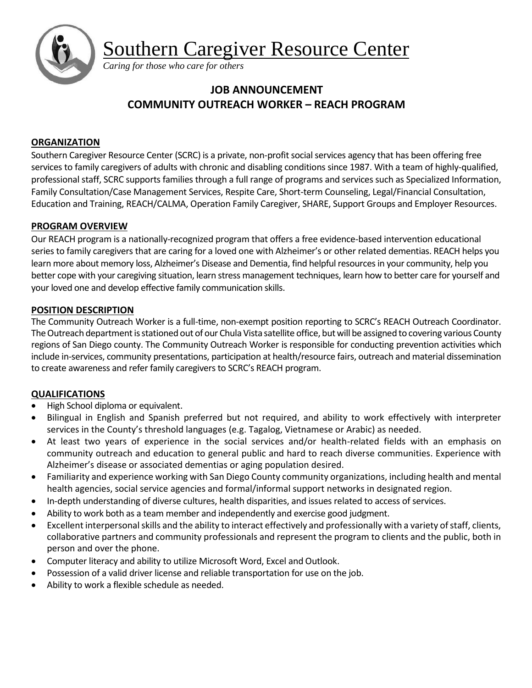Southern Caregiver Resource Center



*Caring for those who care for others*

# **JOB ANNOUNCEMENT COMMUNITY OUTREACH WORKER – REACH PROGRAM**

### **ORGANIZATION**

Southern Caregiver Resource Center (SCRC) is a private, non-profit social services agency that has been offering free services to family caregivers of adults with chronic and disabling conditions since 1987. With a team of highly-qualified, professional staff, SCRC supports families through a full range of programs and services such as Specialized Information, Family Consultation/Case Management Services, Respite Care, Short-term Counseling, Legal/Financial Consultation, Education and Training, REACH/CALMA, Operation Family Caregiver, SHARE, Support Groups and Employer Resources.

# **PROGRAM OVERVIEW**

Our REACH program is a nationally-recognized program that offers a free evidence-based intervention educational series to family caregivers that are caring for a loved one with Alzheimer's or other related dementias. REACH helps you learn more about memory loss, Alzheimer's Disease and Dementia, find helpful resources in your community, help you better cope with your caregiving situation, learn stress management techniques, learn how to better care for yourself and your loved one and develop effective family communication skills.

# **POSITION DESCRIPTION**

The Community Outreach Worker is a full-time, non-exempt position reporting to SCRC's REACH Outreach Coordinator. The Outreach department isstationed out of our Chula Vista satellite office, but will be assigned to covering various County regions of San Diego county. The Community Outreach Worker is responsible for conducting prevention activities which include in-services, community presentations, participation at health/resource fairs, outreach and material dissemination to create awareness and refer family caregivers to SCRC's REACH program.

# **QUALIFICATIONS**

- High School diploma or equivalent.
- Bilingual in English and Spanish preferred but not required, and ability to work effectively with interpreter services in the County's threshold languages (e.g. Tagalog, Vietnamese or Arabic) as needed.
- At least two years of experience in the social services and/or health-related fields with an emphasis on community outreach and education to general public and hard to reach diverse communities. Experience with Alzheimer's disease or associated dementias or aging population desired.
- Familiarity and experience working with San Diego County community organizations, including health and mental health agencies, social service agencies and formal/informal support networks in designated region.
- In-depth understanding of diverse cultures, health disparities, and issues related to access of services.
- Ability to work both as a team member and independently and exercise good judgment.
- Excellent interpersonal skills and the ability to interact effectively and professionally with a variety of staff, clients, collaborative partners and community professionals and represent the program to clients and the public, both in person and over the phone.
- Computer literacy and ability to utilize Microsoft Word, Excel and Outlook.
- Possession of a valid driver license and reliable transportation for use on the job.
- Ability to work a flexible schedule as needed.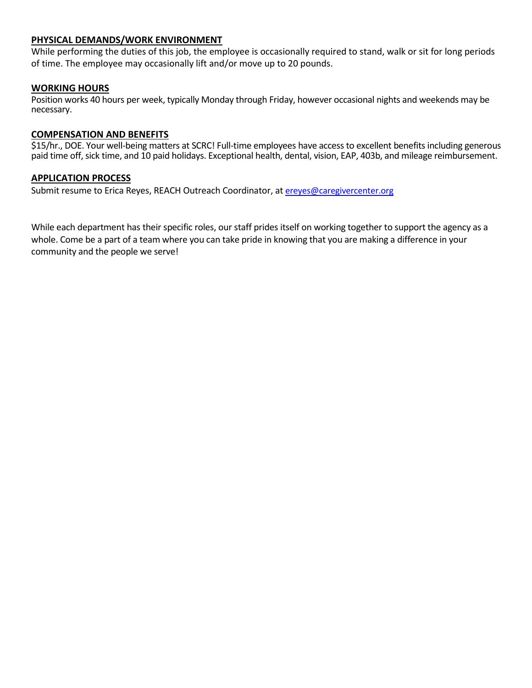### **PHYSICAL DEMANDS/WORK ENVIRONMENT**

While performing the duties of this job, the employee is occasionally required to stand, walk or sit for long periods of time. The employee may occasionally lift and/or move up to 20 pounds.

### **WORKING HOURS**

Position works 40 hours per week, typically Monday through Friday, however occasional nights and weekends may be necessary.

### **COMPENSATION AND BENEFITS**

\$15/hr., DOE. Your well-being matters at SCRC! Full-time employees have access to excellent benefits including generous paid time off, sick time, and 10 paid holidays. Exceptional health, dental, vision, EAP, 403b, and mileage reimbursement.

### **APPLICATION PROCESS**

Submit resume to Erica Reyes, REACH Outreach Coordinator, at ereyes@caregivercenter.org

While each department has their specific roles, our staff prides itself on working together to support the agency as a whole. Come be a part of a team where you can take pride in knowing that you are making a difference in your community and the people we serve!